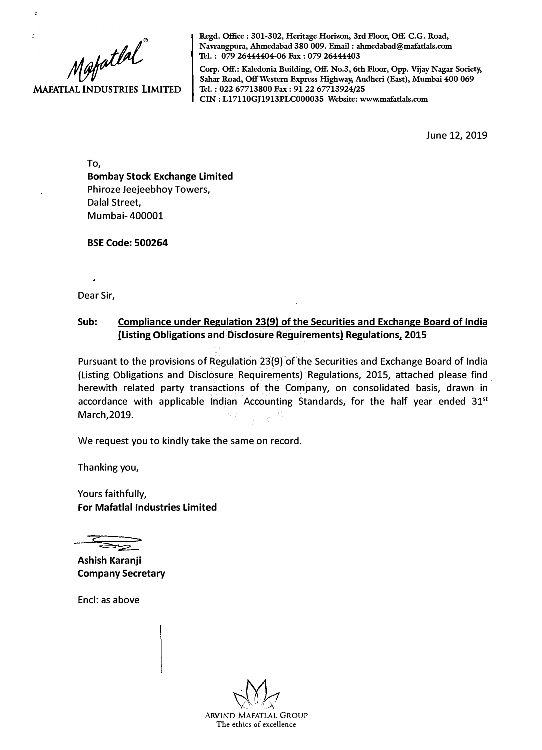Mafatlal

J.

**MAFATLAL INDUSTRIES LIMITED** 

**Regd. Office : 301-302, Heritage Horizon, 3rd Floor, Off. C.G. Road, Navrangpura, Ahmedabad 380 009. Email : ahmedabad@mafatlals.com 'Iel. : 079 26444404-06 Fax : 079 26444403** 

**Corp. Off.: Kaledonia Building, Off. No.3, 6th Floor, Opp. Vijay Nagar Society, Sahar Road, Off Western Express Highway, Andheri (East), Mumbai 400 069 'Iel. : 022 67713800 Fax : 91 22 67713924/25 CIN: Ll7110GJ1913PLC000035 Website: www.mafatlals.com** 

June 12, 2019

To, **Bombay Stock Exchange Limited**  Phiroze Jeejeebhoy Towers, Dalal Street, Mumbai- 400001

**BSE Code: 500264** 

Dear Sir,

## **Sub: Compliance under Regulation 23(9) of the Securities and Exchange Board of India (Listing Obligations and Disclosure Requirements) Regulations, 2015**

Pursuant to the provisions of Regulation 23(9) of the Securities and Exchange Board of India (Listing Obligations and Disclosure Requirements) Regulations, 2015, attached please find . herewith related party transactions of the Company, on consolidated basis, drawn in accordance with applicable Indian Accounting Standards, for the half year ended  $31^{st}$ March,2019.

We request you to kindly take the same on record.

Thanking you,

Yours faithfully, **For Mafatlal Industries Limited** 

**Ashish Karanji Company Secretary** 

Encl: as above

ARVIND MAFATLAL GROUP **The ethics of excellence**